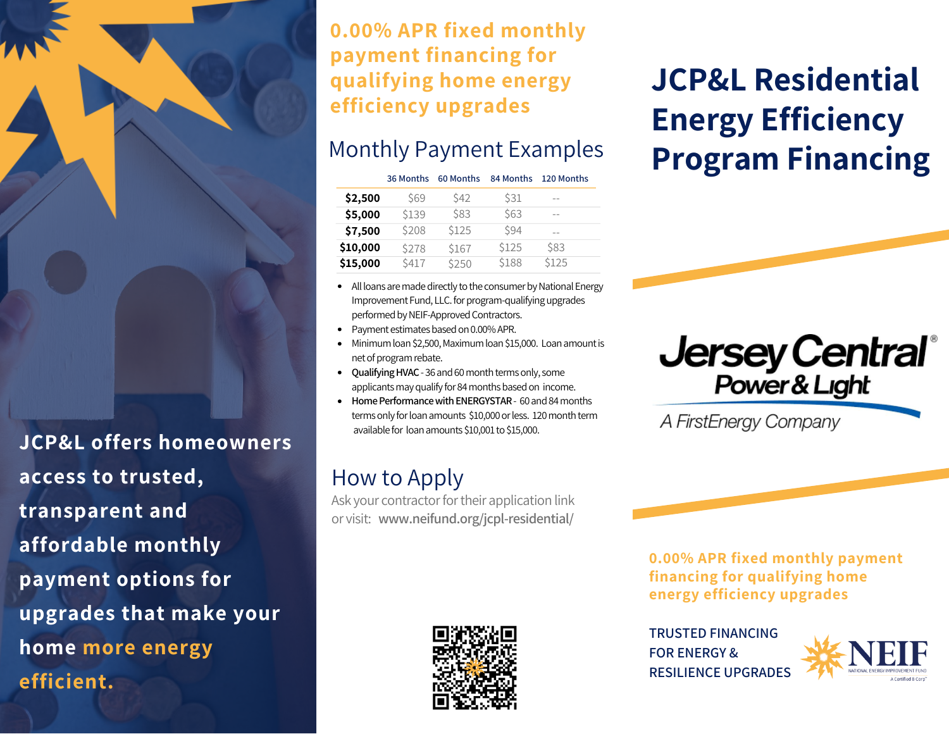**0.00% APR fixed monthly payment financing for qualifying home energy efficiency upgrades**

### Monthly Payment Examples

|          | 36 Months  | 60 Months   | 84 Months    | 120 Months |
|----------|------------|-------------|--------------|------------|
| \$2,500  | <b>S69</b> | <b>\$42</b> | \$31         | $- -$      |
| \$5,000  | \$139      | \$83        | \$63         | --         |
| \$7,500  | \$208      | \$125       | <b>\$94</b>  | --         |
| \$10,000 | \$278      | \$167       | <b>\$125</b> | \$83       |
| \$15,000 | \$417      | \$250       | \$188        | \$125      |
|          |            |             |              |            |

- All loans are made directly to the consumer by National Energy Improvement Fund, LLC. for program-qualifying upgrades performed by NEIF-Approved Contractors.
- Payment estimates based on 0.00% APR.
- Minimum loan \$2,500, Maximum loan \$15,000. Loan amount is net of program rebate.
- Qualifying HVAC 36 and 60 month terms only, some applicants may qualify for 84 months based on income.
- **•** Home Performance with ENERGYSTAR 60 and 84 months terms only for loan amounts \$10,000 or less. 120 month term available for loan amounts \$10,001 to \$15,000.

## How to Apply

Ask your contractor for their application link or visit: **www.neifund.org/jcpl-residential/**



# **JCP&L Residential Energy Efficiency Program Financing**



A FirstEnergy Company

**0.00% APR fixed monthly payment financing for qualifying home energy efficiency upgrades**

**TRUSTED FINANCING FOR ENERGY & RESILIENCE UPGRADES**



**JCP&L offers homeowners access to trusted, transparent and affordable monthly payment options for upgrades that make your home more energy efficient.**